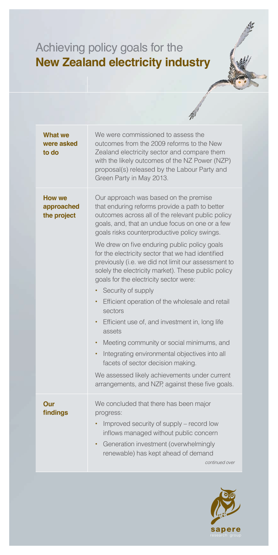## Achieving policy goals for the **New Zealand electricity industry**

| <b>What we</b><br>were asked<br>to do      | We were commissioned to assess the<br>outcomes from the 2009 reforms to the New<br>Zealand electricity sector and compare them<br>with the likely outcomes of the NZ Power (NZP)<br>proposal(s) released by the Labour Party and<br>Green Party in May 2013.                                                                                                                                                                                                                                                                                                                                                                                                                                                                                                                                                                                                                                                                             |
|--------------------------------------------|------------------------------------------------------------------------------------------------------------------------------------------------------------------------------------------------------------------------------------------------------------------------------------------------------------------------------------------------------------------------------------------------------------------------------------------------------------------------------------------------------------------------------------------------------------------------------------------------------------------------------------------------------------------------------------------------------------------------------------------------------------------------------------------------------------------------------------------------------------------------------------------------------------------------------------------|
| <b>How we</b><br>approached<br>the project | Our approach was based on the premise<br>that enduring reforms provide a path to better<br>outcomes across all of the relevant public policy<br>goals, and, that an undue focus on one or a few<br>goals risks counterproductive policy swings.<br>We drew on five enduring public policy goals<br>for the electricity sector that we had identified<br>previously (i.e. we did not limit our assessment to<br>solely the electricity market). These public policy<br>goals for the electricity sector were:<br>Security of supply<br>Efficient operation of the wholesale and retail<br>٠<br>sectors<br>Efficient use of, and investment in, long life<br>$\bullet$<br>assets<br>Meeting community or social minimums, and<br>٠<br>Integrating environmental objectives into all<br>$\bullet$<br>facets of sector decision making.<br>We assessed likely achievements under current<br>arrangements, and NZP, against these five goals. |
| Our<br>findings                            | We concluded that there has been major<br>progress:<br>Improved security of supply - record low<br>inflows managed without public concern<br>Generation investment (overwhelmingly<br>renewable) has kept ahead of demand<br>continued over                                                                                                                                                                                                                                                                                                                                                                                                                                                                                                                                                                                                                                                                                              |